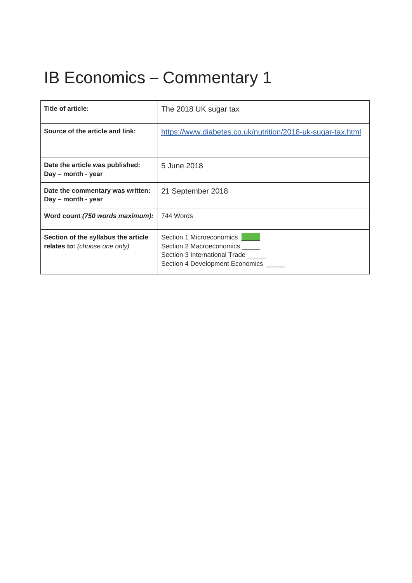# IB Economics – Commentary 1

| Title of article:                                                    | The 2018 UK sugar tax                                                                                                    |
|----------------------------------------------------------------------|--------------------------------------------------------------------------------------------------------------------------|
| Source of the article and link:                                      | https://www.diabetes.co.uk/nutrition/2018-uk-sugar-tax.html                                                              |
| Date the article was published:<br>Day – month - year                | 5 June 2018                                                                                                              |
| Date the commentary was written:<br>Day – month - year               | 21 September 2018                                                                                                        |
| Word count (750 words maximum):                                      | 744 Words                                                                                                                |
| Section of the syllabus the article<br>relates to: (choose one only) | Section 1 Microeconomics<br>Section 2 Macroeconomics<br>Section 3 International Trade<br>Section 4 Development Economics |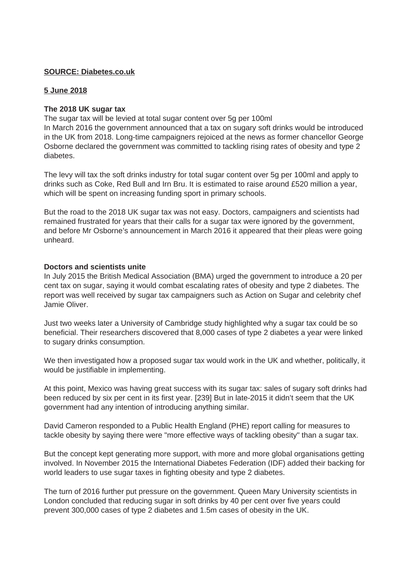## **SOURCE: Diabetes.co.uk**

## **5 June 2018**

#### **The 2018 UK sugar tax**

The sugar tax will be levied at total sugar content over 5g per 100ml

In March 2016 the government announced that a tax on sugary soft drinks would be introduced in the UK from 2018. Long-time campaigners rejoiced at the news as former chancellor George Osborne declared the government was committed to tackling rising rates of obesity and type 2 diabetes.

The levy will tax the soft drinks industry for total sugar content over 5g per 100ml and apply to drinks such as Coke, Red Bull and Irn Bru. It is estimated to raise around £520 million a year, which will be spent on increasing funding sport in primary schools.

But the road to the 2018 UK sugar tax was not easy. Doctors, campaigners and scientists had remained frustrated for years that their calls for a sugar tax were ignored by the government, and before Mr Osborne's announcement in March 2016 it appeared that their pleas were going unheard.

#### **Doctors and scientists unite**

In July 2015 the British Medical Association (BMA) urged the government to introduce a 20 per cent tax on sugar, saying it would combat escalating rates of obesity and type 2 diabetes. The report was well received by sugar tax campaigners such as Action on Sugar and celebrity chef Jamie Oliver.

Just two weeks later a University of Cambridge study highlighted why a sugar tax could be so beneficial. Their researchers discovered that 8,000 cases of type 2 diabetes a year were linked to sugary drinks consumption.

We then investigated how a proposed sugar tax would work in the UK and whether, politically, it would be justifiable in implementing.

At this point, Mexico was having great success with its sugar tax: sales of sugary soft drinks had been reduced by six per cent in its first year. [239] But in late-2015 it didn't seem that the UK government had any intention of introducing anything similar.

David Cameron responded to a Public Health England (PHE) report calling for measures to tackle obesity by saying there were "more effective ways of tackling obesity" than a sugar tax.

But the concept kept generating more support, with more and more global organisations getting involved. In November 2015 the International Diabetes Federation (IDF) added their backing for world leaders to use sugar taxes in fighting obesity and type 2 diabetes.

The turn of 2016 further put pressure on the government. Queen Mary University scientists in London concluded that reducing sugar in soft drinks by 40 per cent over five years could prevent 300,000 cases of type 2 diabetes and 1.5m cases of obesity in the UK.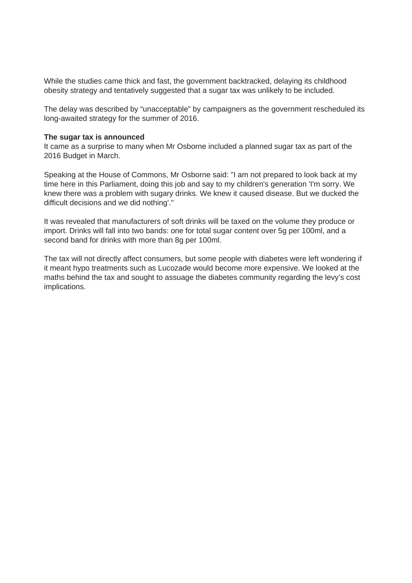While the studies came thick and fast, the government backtracked, delaying its childhood obesity strategy and tentatively suggested that a sugar tax was unlikely to be included.

The delay was described by "unacceptable" by campaigners as the government rescheduled its long-awaited strategy for the summer of 2016.

#### **The sugar tax is announced**

It came as a surprise to many when Mr Osborne included a planned sugar tax as part of the 2016 Budget in March.

Speaking at the House of Commons, Mr Osborne said: "I am not prepared to look back at my time here in this Parliament, doing this job and say to my children's generation 'I'm sorry. We knew there was a problem with sugary drinks. We knew it caused disease. But we ducked the difficult decisions and we did nothing'."

It was revealed that manufacturers of soft drinks will be taxed on the volume they produce or import. Drinks will fall into two bands: one for total sugar content over 5g per 100ml, and a second band for drinks with more than 8g per 100ml.

The tax will not directly affect consumers, but some people with diabetes were left wondering if it meant hypo treatments such as Lucozade would become more expensive. We looked at the maths behind the tax and sought to assuage the diabetes community regarding the levy's cost implications.